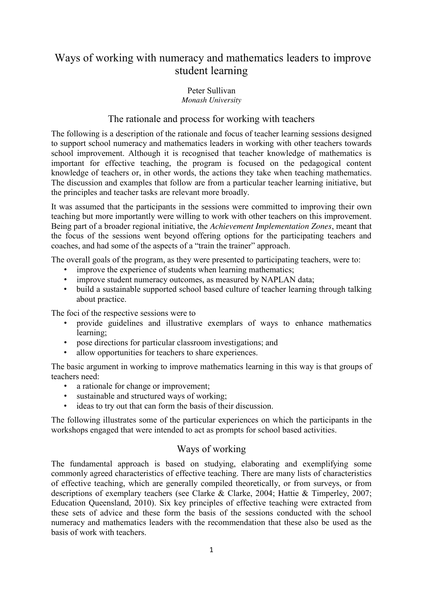# Ways of working with numeracy and mathematics leaders to improve student learning

## Peter Sullivan *Monash University*

# The rationale and process for working with teachers

The following is a description of the rationale and focus of teacher learning sessions designed to support school numeracy and mathematics leaders in working with other teachers towards school improvement. Although it is recognised that teacher knowledge of mathematics is important for effective teaching, the program is focused on the pedagogical content knowledge of teachers or, in other words, the actions they take when teaching mathematics. The discussion and examples that follow are from a particular teacher learning initiative, but the principles and teacher tasks are relevant more broadly.

It was assumed that the participants in the sessions were committed to improving their own teaching but more importantly were willing to work with other teachers on this improvement. Being part of a broader regional initiative, the *Achievement Implementation Zones*, meant that the focus of the sessions went beyond offering options for the participating teachers and coaches, and had some of the aspects of a "train the trainer" approach.

The overall goals of the program, as they were presented to participating teachers, were to:

- improve the experience of students when learning mathematics;
- improve student numeracy outcomes, as measured by NAPLAN data;
- build a sustainable supported school based culture of teacher learning through talking about practice.

The foci of the respective sessions were to

- provide guidelines and illustrative exemplars of ways to enhance mathematics learning;
- pose directions for particular classroom investigations; and
- allow opportunities for teachers to share experiences.

The basic argument in working to improve mathematics learning in this way is that groups of teachers need:

- a rationale for change or improvement;
- sustainable and structured ways of working;
- ideas to try out that can form the basis of their discussion.

The following illustrates some of the particular experiences on which the participants in the workshops engaged that were intended to act as prompts for school based activities.

# Ways of working

The fundamental approach is based on studying, elaborating and exemplifying some commonly agreed characteristics of effective teaching. There are many lists of characteristics of effective teaching, which are generally compiled theoretically, or from surveys, or from descriptions of exemplary teachers (see Clarke & Clarke, 2004; Hattie & Timperley, 2007; Education Queensland, 2010). Six key principles of effective teaching were extracted from these sets of advice and these form the basis of the sessions conducted with the school numeracy and mathematics leaders with the recommendation that these also be used as the basis of work with teachers.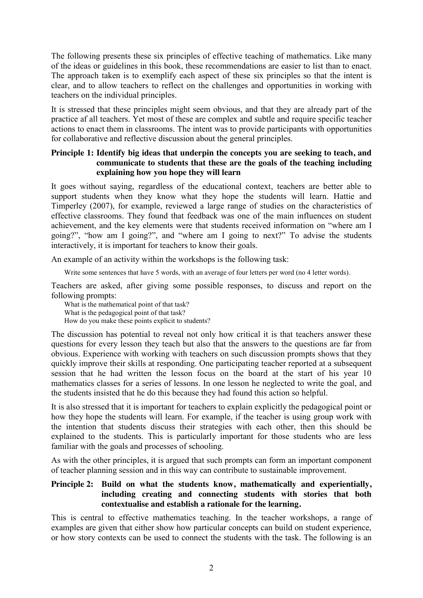The following presents these six principles of effective teaching of mathematics. Like many of the ideas or guidelines in this book, these recommendations are easier to list than to enact. The approach taken is to exemplify each aspect of these six principles so that the intent is clear, and to allow teachers to reflect on the challenges and opportunities in working with teachers on the individual principles.

It is stressed that these principles might seem obvious, and that they are already part of the practice af all teachers. Yet most of these are complex and subtle and require specific teacher actions to enact them in classrooms. The intent was to provide participants with opportunities for collaborative and reflective discussion about the general principles.

### **Principle 1: Identify big ideas that underpin the concepts you are seeking to teach, and communicate to students that these are the goals of the teaching including explaining how you hope they will learn**

It goes without saying, regardless of the educational context, teachers are better able to support students when they know what they hope the students will learn. Hattie and Timperley (2007), for example, reviewed a large range of studies on the characteristics of effective classrooms. They found that feedback was one of the main influences on student achievement, and the key elements were that students received information on "where am I going?", "how am I going?", and "where am I going to next?" To advise the students interactively, it is important for teachers to know their goals.

An example of an activity within the workshops is the following task:

Write some sentences that have 5 words, with an average of four letters per word (no 4 letter words).

Teachers are asked, after giving some possible responses, to discuss and report on the following prompts:

What is the mathematical point of that task? What is the pedagogical point of that task? How do you make these points explicit to students?

The discussion has potential to reveal not only how critical it is that teachers answer these questions for every lesson they teach but also that the answers to the questions are far from obvious. Experience with working with teachers on such discussion prompts shows that they quickly improve their skills at responding. One participating teacher reported at a subsequent session that he had written the lesson focus on the board at the start of his year 10 mathematics classes for a series of lessons. In one lesson he neglected to write the goal, and the students insisted that he do this because they had found this action so helpful.

It is also stressed that it is important for teachers to explain explicitly the pedagogical point or how they hope the students will learn. For example, if the teacher is using group work with the intention that students discuss their strategies with each other, then this should be explained to the students. This is particularly important for those students who are less familiar with the goals and processes of schooling.

As with the other principles, it is argued that such prompts can form an important component of teacher planning session and in this way can contribute to sustainable improvement.

### **Principle 2: Build on what the students know, mathematically and experientially, including creating and connecting students with stories that both contextualise and establish a rationale for the learning.**

This is central to effective mathematics teaching. In the teacher workshops, a range of examples are given that either show how particular concepts can build on student experience, or how story contexts can be used to connect the students with the task. The following is an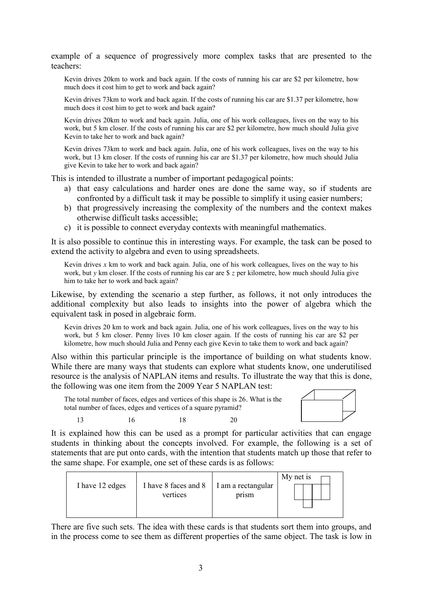example of a sequence of progressively more complex tasks that are presented to the teachers:

Kevin drives 20km to work and back again. If the costs of running his car are \$2 per kilometre, how much does it cost him to get to work and back again?

Kevin drives 73km to work and back again. If the costs of running his car are \$1.37 per kilometre, how much does it cost him to get to work and back again?

Kevin drives 20km to work and back again. Julia, one of his work colleagues, lives on the way to his work, but 5 km closer. If the costs of running his car are \$2 per kilometre, how much should Julia give Kevin to take her to work and back again?

Kevin drives 73km to work and back again. Julia, one of his work colleagues, lives on the way to his work, but 13 km closer. If the costs of running his car are \$1.37 per kilometre, how much should Julia give Kevin to take her to work and back again?

This is intended to illustrate a number of important pedagogical points:

- a) that easy calculations and harder ones are done the same way, so if students are confronted by a difficult task it may be possible to simplify it using easier numbers;
- b) that progressively increasing the complexity of the numbers and the context makes otherwise difficult tasks accessible;
- c) it is possible to connect everyday contexts with meaningful mathematics.

It is also possible to continue this in interesting ways. For example, the task can be posed to extend the activity to algebra and even to using spreadsheets.

Kevin drives *x* km to work and back again. Julia, one of his work colleagues, lives on the way to his work, but *y* km closer. If the costs of running his car are \$ *z* per kilometre, how much should Julia give him to take her to work and back again?

Likewise, by extending the scenario a step further, as follows, it not only introduces the additional complexity but also leads to insights into the power of algebra which the equivalent task in posed in algebraic form.

Kevin drives 20 km to work and back again. Julia, one of his work colleagues, lives on the way to his work, but 5 km closer. Penny lives 10 km closer again. If the costs of running his car are \$2 per kilometre, how much should Julia and Penny each give Kevin to take them to work and back again?

Also within this particular principle is the importance of building on what students know. While there are many ways that students can explore what students know, one underutilised resource is the analysis of NAPLAN items and results. To illustrate the way that this is done, the following was one item from the 2009 Year 5 NAPLAN test:

The total number of faces, edges and vertices of this shape is 26. What is the total number of faces, edges and vertices of a square pyramid?

13 16 18 20



It is explained how this can be used as a prompt for particular activities that can engage students in thinking about the concepts involved. For example, the following is a set of statements that are put onto cards, with the intention that students match up those that refer to the same shape. For example, one set of these cards is as follows:

| I have 12 edges | I have 8 faces and 8 | I am a rectangular | My net is |
|-----------------|----------------------|--------------------|-----------|
|                 | vertices             | prism              |           |
|                 |                      |                    |           |
|                 |                      |                    |           |

There are five such sets. The idea with these cards is that students sort them into groups, and in the process come to see them as different properties of the same object. The task is low in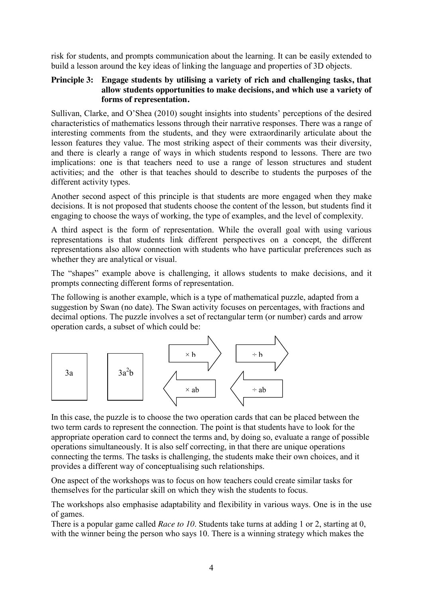risk for students, and prompts communication about the learning. It can be easily extended to build a lesson around the key ideas of linking the language and properties of 3D objects.

#### **Principle 3: Engage students by utilising a variety of rich and challenging tasks, that allow students opportunities to make decisions, and which use a variety of forms of representation.**

Sullivan, Clarke, and O'Shea (2010) sought insights into students' perceptions of the desired characteristics of mathematics lessons through their narrative responses. There was a range of interesting comments from the students, and they were extraordinarily articulate about the lesson features they value. The most striking aspect of their comments was their diversity, and there is clearly a range of ways in which students respond to lessons. There are two implications: one is that teachers need to use a range of lesson structures and student activities; and the other is that teaches should to describe to students the purposes of the different activity types.

Another second aspect of this principle is that students are more engaged when they make decisions. It is not proposed that students choose the content of the lesson, but students find it engaging to choose the ways of working, the type of examples, and the level of complexity.

A third aspect is the form of representation. While the overall goal with using various representations is that students link different perspectives on a concept, the different representations also allow connection with students who have particular preferences such as whether they are analytical or visual.

The "shapes" example above is challenging, it allows students to make decisions, and it prompts connecting different forms of representation.

The following is another example, which is a type of mathematical puzzle, adapted from a suggestion by Swan (no date). The Swan activity focuses on percentages, with fractions and decimal options. The puzzle involves a set of rectangular term (or number) cards and arrow operation cards, a subset of which could be:



In this case, the puzzle is to choose the two operation cards that can be placed between the two term cards to represent the connection. The point is that students have to look for the appropriate operation card to connect the terms and, by doing so, evaluate a range of possible operations simultaneously. It is also self correcting, in that there are unique operations connecting the terms. The tasks is challenging, the students make their own choices, and it provides a different way of conceptualising such relationships.

One aspect of the workshops was to focus on how teachers could create similar tasks for themselves for the particular skill on which they wish the students to focus.

The workshops also emphasise adaptability and flexibility in various ways. One is in the use of games.

There is a popular game called *Race to 10*. Students take turns at adding 1 or 2, starting at 0, with the winner being the person who says 10. There is a winning strategy which makes the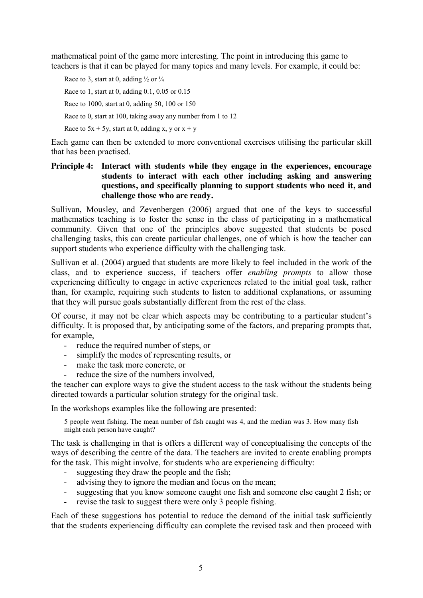mathematical point of the game more interesting. The point in introducing this game to teachers is that it can be played for many topics and many levels. For example, it could be:

Race to 3, start at 0, adding  $\frac{1}{2}$  or  $\frac{1}{4}$ Race to 1, start at 0, adding 0.1, 0.05 or 0.15 Race to 1000, start at 0, adding 50, 100 or 150 Race to 0, start at 100, taking away any number from 1 to 12 Race to  $5x + 5y$ , start at 0, adding x, y or  $x + y$ 

Each game can then be extended to more conventional exercises utilising the particular skill that has been practised.

# **Principle 4: Interact with students while they engage in the experiences, encourage students to interact with each other including asking and answering questions, and specifically planning to support students who need it, and challenge those who are ready.**

Sullivan, Mousley, and Zevenbergen (2006) argued that one of the keys to successful mathematics teaching is to foster the sense in the class of participating in a mathematical community. Given that one of the principles above suggested that students be posed challenging tasks, this can create particular challenges, one of which is how the teacher can support students who experience difficulty with the challenging task.

Sullivan et al. (2004) argued that students are more likely to feel included in the work of the class, and to experience success, if teachers offer *enabling prompts* to allow those experiencing difficulty to engage in active experiences related to the initial goal task, rather than, for example, requiring such students to listen to additional explanations, or assuming that they will pursue goals substantially different from the rest of the class.

Of course, it may not be clear which aspects may be contributing to a particular student's difficulty. It is proposed that, by anticipating some of the factors, and preparing prompts that, for example,

- reduce the required number of steps, or
- simplify the modes of representing results, or
- make the task more concrete, or
- reduce the size of the numbers involved,

the teacher can explore ways to give the student access to the task without the students being directed towards a particular solution strategy for the original task.

In the workshops examples like the following are presented:

5 people went fishing. The mean number of fish caught was 4, and the median was 3. How many fish might each person have caught?

The task is challenging in that is offers a different way of conceptualising the concepts of the ways of describing the centre of the data. The teachers are invited to create enabling prompts for the task. This might involve, for students who are experiencing difficulty:

- suggesting they draw the people and the fish;
- advising they to ignore the median and focus on the mean;
- suggesting that you know someone caught one fish and someone else caught 2 fish; or
- revise the task to suggest there were only 3 people fishing.

Each of these suggestions has potential to reduce the demand of the initial task sufficiently that the students experiencing difficulty can complete the revised task and then proceed with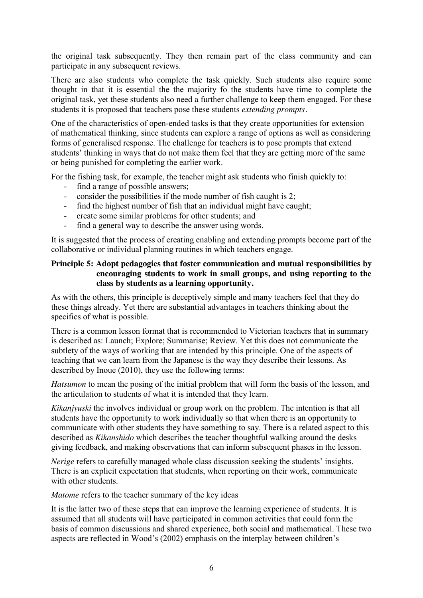the original task subsequently. They then remain part of the class community and can participate in any subsequent reviews.

There are also students who complete the task quickly. Such students also require some thought in that it is essential the the majority fo the students have time to complete the original task, yet these students also need a further challenge to keep them engaged. For these students it is proposed that teachers pose these students *extending prompts.*

One of the characteristics of open-ended tasks is that they create opportunities for extension of mathematical thinking, since students can explore a range of options as well as considering forms of generalised response. The challenge for teachers is to pose prompts that extend students' thinking in ways that do not make them feel that they are getting more of the same or being punished for completing the earlier work.

For the fishing task, for example, the teacher might ask students who finish quickly to:

- find a range of possible answers;
- consider the possibilities if the mode number of fish caught is 2;
- find the highest number of fish that an individual might have caught;
- create some similar problems for other students; and
- find a general way to describe the answer using words.

It is suggested that the process of creating enabling and extending prompts become part of the collaborative or individual planning routines in which teachers engage.

#### **Principle 5: Adopt pedagogies that foster communication and mutual responsibilities by encouraging students to work in small groups, and using reporting to the class by students as a learning opportunity.**

As with the others, this principle is deceptively simple and many teachers feel that they do these things already. Yet there are substantial advantages in teachers thinking about the specifics of what is possible.

There is a common lesson format that is recommended to Victorian teachers that in summary is described as: Launch; Explore; Summarise; Review. Yet this does not communicate the subtlety of the ways of working that are intended by this principle. One of the aspects of teaching that we can learn from the Japanese is the way they describe their lessons. As described by Inoue (2010), they use the following terms:

*Hatsumon* to mean the posing of the initial problem that will form the basis of the lesson, and the articulation to students of what it is intended that they learn.

*Kikanjyuski* the involves individual or group work on the problem. The intention is that all students have the opportunity to work individually so that when there is an opportunity to communicate with other students they have something to say. There is a related aspect to this described as *Kikanshido* which describes the teacher thoughtful walking around the desks giving feedback, and making observations that can inform subsequent phases in the lesson.

*Nerige* refers to carefully managed whole class discussion seeking the students' insights. There is an explicit expectation that students, when reporting on their work, communicate with other students.

*Matome* refers to the teacher summary of the key ideas

It is the latter two of these steps that can improve the learning experience of students. It is assumed that all students will have participated in common activities that could form the basis of common discussions and shared experience, both social and mathematical. These two aspects are reflected in Wood's (2002) emphasis on the interplay between children's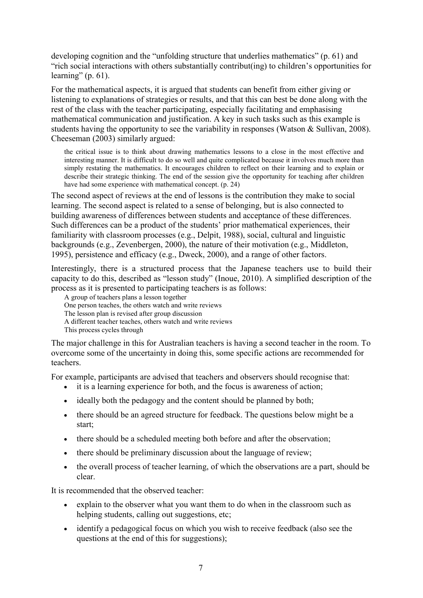developing cognition and the "unfolding structure that underlies mathematics" (p. 61) and "rich social interactions with others substantially contribut(ing) to children's opportunities for learning" (p.  $61$ ).

For the mathematical aspects, it is argued that students can benefit from either giving or listening to explanations of strategies or results, and that this can best be done along with the rest of the class with the teacher participating, especially facilitating and emphasising mathematical communication and justification. A key in such tasks such as this example is students having the opportunity to see the variability in responses (Watson & Sullivan, 2008). Cheeseman (2003) similarly argued:

the critical issue is to think about drawing mathematics lessons to a close in the most effective and interesting manner. It is difficult to do so well and quite complicated because it involves much more than simply restating the mathematics. It encourages children to reflect on their learning and to explain or describe their strategic thinking. The end of the session give the opportunity for teaching after children have had some experience with mathematical concept. (p. 24)

The second aspect of reviews at the end of lessons is the contribution they make to social learning. The second aspect is related to a sense of belonging, but is also connected to building awareness of differences between students and acceptance of these differences. Such differences can be a product of the students' prior mathematical experiences, their familiarity with classroom processes (e.g., Delpit, 1988), social, cultural and linguistic backgrounds (e.g., Zevenbergen, 2000), the nature of their motivation (e.g., Middleton, 1995), persistence and efficacy (e.g., Dweck, 2000), and a range of other factors.

Interestingly, there is a structured process that the Japanese teachers use to build their capacity to do this, described as "lesson study" (Inoue, 2010). A simplified description of the process as it is presented to participating teachers is as follows:

A group of teachers plans a lesson together One person teaches, the others watch and write reviews The lesson plan is revised after group discussion A different teacher teaches, others watch and write reviews This process cycles through

The major challenge in this for Australian teachers is having a second teacher in the room. To overcome some of the uncertainty in doing this, some specific actions are recommended for teachers.

For example, participants are advised that teachers and observers should recognise that:

- $\bullet$  it is a learning experience for both, and the focus is awareness of action;
- $\bullet$  ideally both the pedagogy and the content should be planned by both;
- there should be an agreed structure for feedback. The questions below might be a start;
- there should be a scheduled meeting both before and after the observation;
- there should be preliminary discussion about the language of review;
- the overall process of teacher learning, of which the observations are a part, should be clear.

It is recommended that the observed teacher:

- x explain to the observer what you want them to do when in the classroom such as helping students, calling out suggestions, etc;
- identify a pedagogical focus on which you wish to receive feedback (also see the questions at the end of this for suggestions);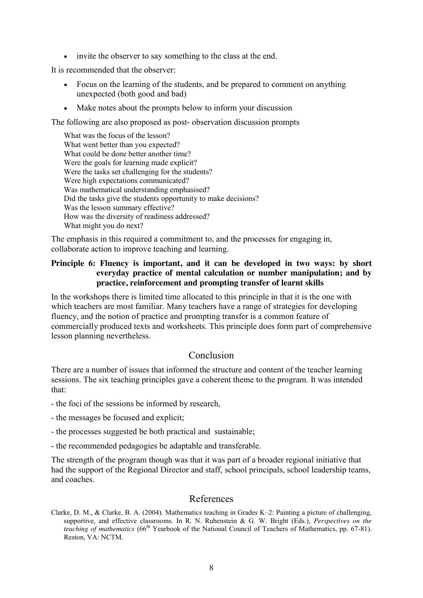invite the observer to say something to the class at the end.

It is recommended that the observer:

- Focus on the learning of the students, and be prepared to comment on anything unexpected (both good and bad)
- Make notes about the prompts below to inform your discussion

The following are also proposed as post- observation discussion prompts

What was the focus of the lesson? What went better than you expected? What could be done better another time? Were the goals for learning made explicit? Were the tasks set challenging for the students? Were high expectations communicated? Was mathematical understanding emphasised? Did the tasks give the students opportunity to make decisions? Was the lesson summary effective? How was the diversity of readiness addressed? What might you do next?

The emphasis in this required a commitment to, and the processes for engaging in, collaborate action to improve teaching and learning.

#### **Principle 6: Fluency is important, and it can be developed in two ways: by short everyday practice of mental calculation or number manipulation; and by practice, reinforcement and prompting transfer of learnt skills**

In the workshops there is limited time allocated to this principle in that it is the one with which teachers are most familiar. Many teachers have a range of strategies for developing fluency, and the notion of practice and prompting transfer is a common feature of commercially produced texts and worksheets. This principle does form part of comprehensive lesson planning nevertheless.

# Conclusion

There are a number of issues that informed the structure and content of the teacher learning sessions. The six teaching principles gave a coherent theme to the program. It was intended that:

- the foci of the sessions be informed by research,
- the messages be focused and explicit;
- the processes suggested be both practical and sustainable;
- the recommended pedagogies be adaptable and transferable.

The strength of the program though was that it was part of a broader regional initiative that had the support of the Regional Director and staff, school principals, school leadership teams, and coaches.

#### References

Clarke, D. M., & Clarke, B. A. (2004). Mathematics teaching in Grades K–2: Painting a picture of challenging, supportive, and effective classrooms. In R. N. Rubenstein & G. W. Bright (Eds.), *Perspectives on the teaching of mathematics* (66<sup>th</sup> Yearbook of the National Council of Teachers of Mathematics, pp. 67-81). Reston, VA: NCTM.